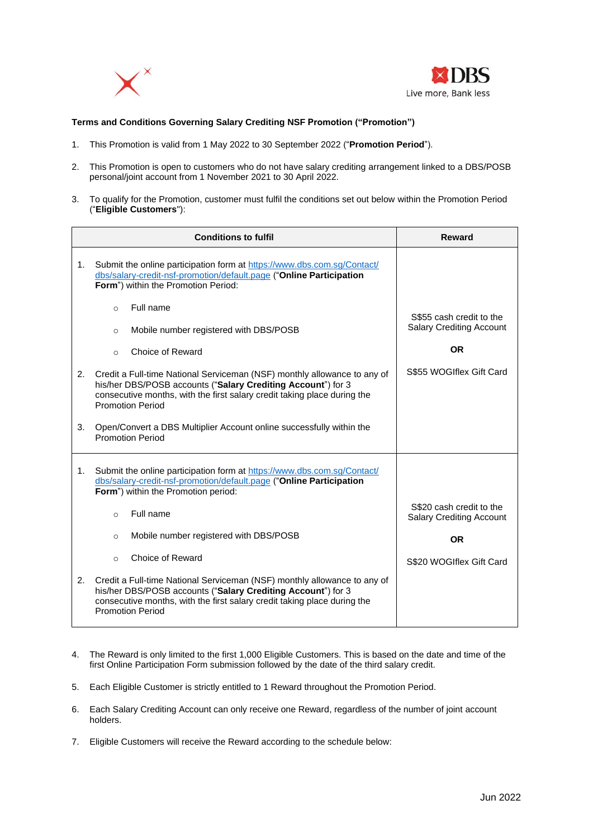



## **Terms and Conditions Governing Salary Crediting NSF Promotion ("Promotion")**

- 1. This Promotion is valid from 1 May 2022 to 30 September 2022 ("**Promotion Period**").
- 2. This Promotion is open to customers who do not have salary crediting arrangement linked to a DBS/POSB personal/joint account from 1 November 2021 to 30 April 2022.
- 3. To qualify for the Promotion, customer must fulfil the conditions set out below within the Promotion Period ("**Eligible Customers**"):

|    | <b>Conditions to fulfil</b>                                                                                                                                                                                                                     | Reward                                                      |
|----|-------------------------------------------------------------------------------------------------------------------------------------------------------------------------------------------------------------------------------------------------|-------------------------------------------------------------|
| 1. | Submit the online participation form at https://www.dbs.com.sg/Contact/<br>dbs/salary-credit-nsf-promotion/default.page ("Online Participation<br>Form") within the Promotion Period:                                                           |                                                             |
|    | Full name<br>$\circ$<br>Mobile number registered with DBS/POSB<br>$\circ$                                                                                                                                                                       | S\$55 cash credit to the<br><b>Salary Crediting Account</b> |
|    | Choice of Reward<br>$\Omega$                                                                                                                                                                                                                    | OR                                                          |
| 2. | Credit a Full-time National Serviceman (NSF) monthly allowance to any of<br>his/her DBS/POSB accounts ("Salary Crediting Account") for 3<br>consecutive months, with the first salary credit taking place during the<br><b>Promotion Period</b> | S\$55 WOGIflex Gift Card                                    |
| 3. | Open/Convert a DBS Multiplier Account online successfully within the<br><b>Promotion Period</b>                                                                                                                                                 |                                                             |
| 1. | Submit the online participation form at https://www.dbs.com.sg/Contact/<br>dbs/salary-credit-nsf-promotion/default.page ("Online Participation<br>Form") within the Promotion period:                                                           |                                                             |
|    | Full name<br>$\Omega$                                                                                                                                                                                                                           | S\$20 cash credit to the<br><b>Salary Crediting Account</b> |
|    | Mobile number registered with DBS/POSB<br>$\Omega$                                                                                                                                                                                              | <b>OR</b>                                                   |
|    | Choice of Reward<br>$\circ$                                                                                                                                                                                                                     | S\$20 WOGIflex Gift Card                                    |
| 2. | Credit a Full-time National Serviceman (NSF) monthly allowance to any of<br>his/her DBS/POSB accounts ("Salary Crediting Account") for 3<br>consecutive months, with the first salary credit taking place during the<br><b>Promotion Period</b> |                                                             |

- 4. The Reward is only limited to the first 1,000 Eligible Customers. This is based on the date and time of the first Online Participation Form submission followed by the date of the third salary credit.
- 5. Each Eligible Customer is strictly entitled to 1 Reward throughout the Promotion Period.
- 6. Each Salary Crediting Account can only receive one Reward, regardless of the number of joint account holders.
- 7. Eligible Customers will receive the Reward according to the schedule below: